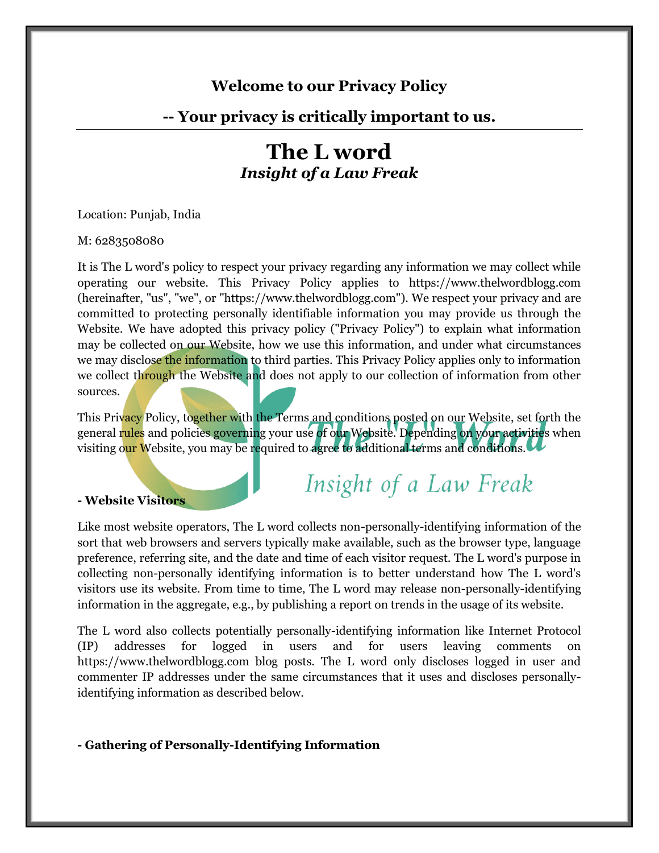# **Welcome to our Privacy Policy**

## **-- Your privacy is critically important to us.**

# **The L word** *Insight of a Law Freak*

Location: Punjab, India

#### M: 6283508080

It is The L word's policy to respect your privacy regarding any information we may collect while operating our website. This Privacy Policy applies to https://www.thelwordblogg.com (hereinafter, "us", "we", or "https://www.thelwordblogg.com"). We respect your privacy and are committed to protecting personally identifiable information you may provide us through the Website. We have adopted this privacy policy ("Privacy Policy") to explain what information may be collected on our Website, how we use this information, and under what circumstances we may disclose the information to third parties. This Privacy Policy applies only to information we collect through the Website and does not apply to our collection of information from other sources.

This Privacy Policy, together with the Terms and conditions posted on our Website, set forth the general rules and policies governing your use of our Website. Depending on your activities when visiting our Website, you may be required to agree to additional terms and conditions.

#### **- Website Visitors**

Insight of a Law Freak

Like most website operators, The L word collects non-personally-identifying information of the sort that web browsers and servers typically make available, such as the browser type, language preference, referring site, and the date and time of each visitor request. The L word's purpose in collecting non-personally identifying information is to better understand how The L word's visitors use its website. From time to time, The L word may release non-personally-identifying information in the aggregate, e.g., by publishing a report on trends in the usage of its website.

The L word also collects potentially personally-identifying information like Internet Protocol (IP) addresses for logged in users and for users leaving comments on https://www.thelwordblogg.com blog posts. The L word only discloses logged in user and commenter IP addresses under the same circumstances that it uses and discloses personallyidentifying information as described below.

#### **- Gathering of Personally-Identifying Information**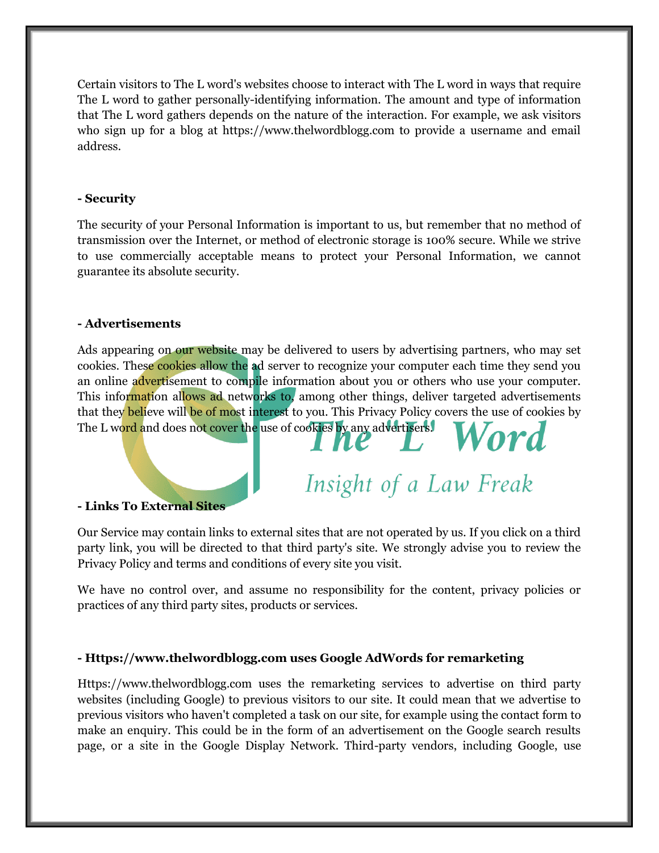Certain visitors to The L word's websites choose to interact with The L word in ways that require The L word to gather personally-identifying information. The amount and type of information that The L word gathers depends on the nature of the interaction. For example, we ask visitors who sign up for a blog at https://www.thelwordblogg.com to provide a username and email address.

## **- Security**

The security of your Personal Information is important to us, but remember that no method of transmission over the Internet, or method of electronic storage is 100% secure. While we strive to use commercially acceptable means to protect your Personal Information, we cannot guarantee its absolute security.

## **- Advertisements**

Ads appearing on our website may be delivered to users by advertising partners, who may set cookies. These cookies allow the ad server to recognize your computer each time they send you an online advertisement to compile information about you or others who use your computer. This information allows ad networks to, among other things, deliver targeted advertisements that they believe will be of most interest to you. This Privacy Policy covers the use of cookies by The L word and does not cover the use of cookies by any advertisers.

## **- Links To External Sites**

Our Service may contain links to external sites that are not operated by us. If you click on a third party link, you will be directed to that third party's site. We strongly advise you to review the Privacy Policy and terms and conditions of every site you visit.

Insight of a Law Freak

We have no control over, and assume no responsibility for the content, privacy policies or practices of any third party sites, products or services.

## **- Https://www.thelwordblogg.com uses Google AdWords for remarketing**

Https://www.thelwordblogg.com uses the remarketing services to advertise on third party websites (including Google) to previous visitors to our site. It could mean that we advertise to previous visitors who haven't completed a task on our site, for example using the contact form to make an enquiry. This could be in the form of an advertisement on the Google search results page, or a site in the Google Display Network. Third-party vendors, including Google, use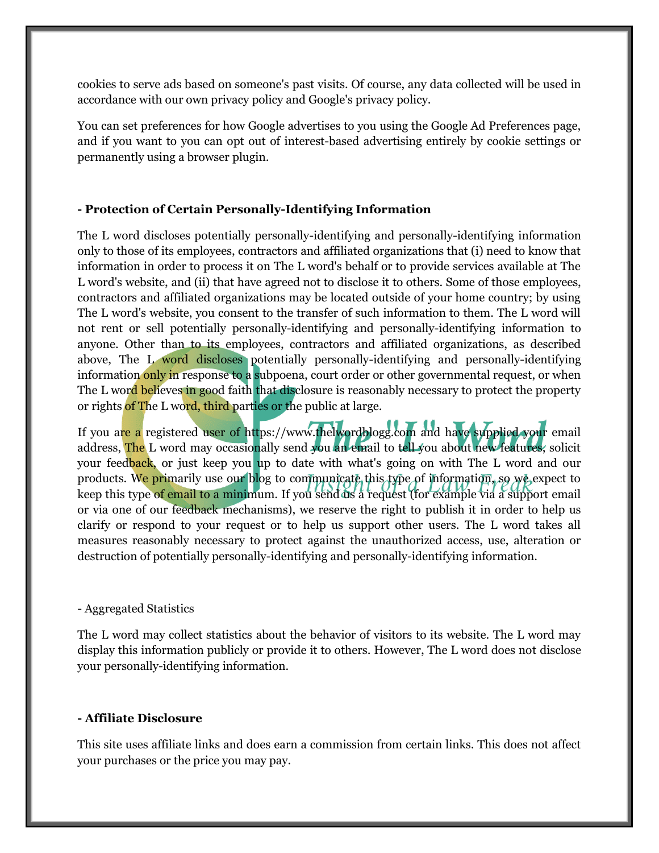cookies to serve ads based on someone's past visits. Of course, any data collected will be used in accordance with our own privacy policy and Google's privacy policy.

You can set preferences for how Google advertises to you using the Google Ad Preferences page, and if you want to you can opt out of interest-based advertising entirely by cookie settings or permanently using a browser plugin.

## **- Protection of Certain Personally-Identifying Information**

The L word discloses potentially personally-identifying and personally-identifying information only to those of its employees, contractors and affiliated organizations that (i) need to know that information in order to process it on The L word's behalf or to provide services available at The L word's website, and (ii) that have agreed not to disclose it to others. Some of those employees, contractors and affiliated organizations may be located outside of your home country; by using The L word's website, you consent to the transfer of such information to them. The L word will not rent or sell potentially personally-identifying and personally-identifying information to anyone. Other than to its employees, contractors and affiliated organizations, as described above, The L word discloses potentially personally-identifying and personally-identifying information only in response to a subpoena, court order or other governmental request, or when The L word believes in good faith that disclosure is reasonably necessary to protect the property or rights of The L word, third parties or the public at large.

If you are a registered user of https://www.thelwordblogg.com and have supplied your email address, The L word may occasionally send you an email to tell you about new features, solicit your feedback, or just keep you up to date with what's going on with The L word and our products. We primarily use our blog to communicate this type of information, so we expect to keep this type of email to a minimum. If you send us a request (for example via a support email or via one of our feedback mechanisms), we reserve the right to publish it in order to help us clarify or respond to your request or to help us support other users. The L word takes all measures reasonably necessary to protect against the unauthorized access, use, alteration or destruction of potentially personally-identifying and personally-identifying information.

## - Aggregated Statistics

The L word may collect statistics about the behavior of visitors to its website. The L word may display this information publicly or provide it to others. However, The L word does not disclose your personally-identifying information.

## **- Affiliate Disclosure**

This site uses affiliate links and does earn a commission from certain links. This does not affect your purchases or the price you may pay.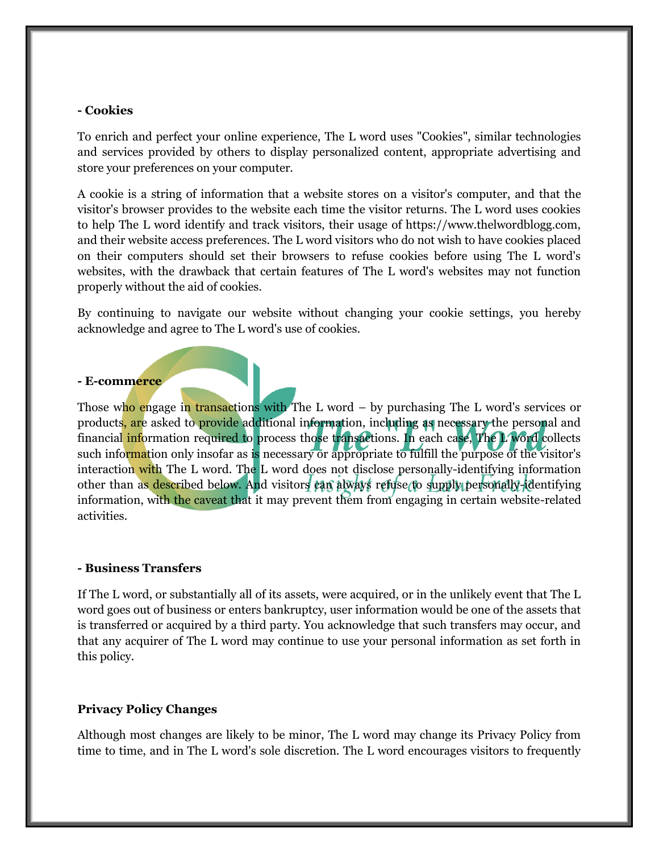#### **- Cookies**

To enrich and perfect your online experience, The L word uses "Cookies", similar technologies and services provided by others to display personalized content, appropriate advertising and store your preferences on your computer.

A cookie is a string of information that a website stores on a visitor's computer, and that the visitor's browser provides to the website each time the visitor returns. The L word uses cookies to help The L word identify and track visitors, their usage of https://www.thelwordblogg.com, and their website access preferences. The L word visitors who do not wish to have cookies placed on their computers should set their browsers to refuse cookies before using The L word's websites, with the drawback that certain features of The L word's websites may not function properly without the aid of cookies.

By continuing to navigate our website without changing your cookie settings, you hereby acknowledge and agree to The L word's use of cookies.

#### **- E-commerce**

Those who engage in transactions with The L word – by purchasing The L word's services or products, are asked to provide additional information, including as necessary the personal and financial information required to process those transactions. In each case, The L word collects such information only insofar as is necessary or appropriate to fulfill the purpose of the visitor's interaction with The L word. The L word does not disclose personally-identifying information other than as described below. And visitors can always refuse to supply personally-identifying information, with the caveat that it may prevent them from engaging in certain website-related activities.

#### **- Business Transfers**

If The L word, or substantially all of its assets, were acquired, or in the unlikely event that The L word goes out of business or enters bankruptcy, user information would be one of the assets that is transferred or acquired by a third party. You acknowledge that such transfers may occur, and that any acquirer of The L word may continue to use your personal information as set forth in this policy.

#### **Privacy Policy Changes**

Although most changes are likely to be minor, The L word may change its Privacy Policy from time to time, and in The L word's sole discretion. The L word encourages visitors to frequently